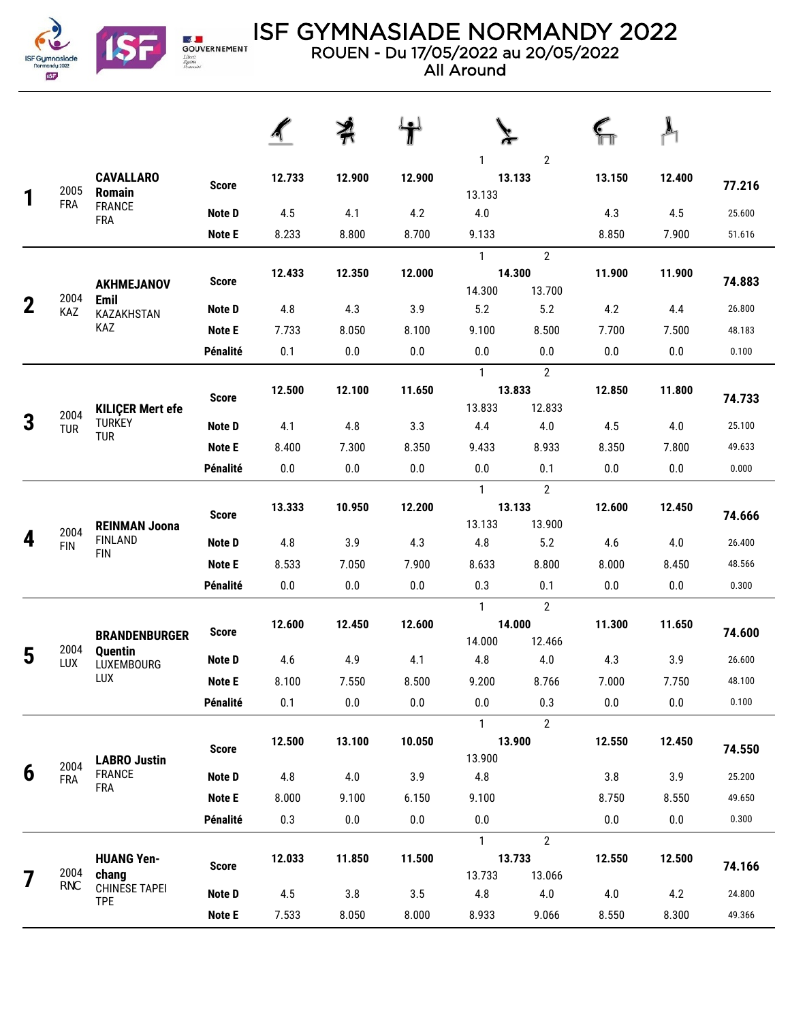

**Expediant**<br>GOUVERNEMENT<br>*Eliseus*<br>*Postmint* 

## ISF GYMNASIADE NORMANDY 2022

ROUEN - Du 17/05/2022 au 20/05/2022

All Around

|             | 2005               | <b>CAVALLARO</b><br>Romain<br><b>FRANCE</b><br><b>FRA</b> | <b>Score</b>  | 12.733  | 12.900  | 12.900  | $\mathbf{2}$<br>1<br>13.133<br>13.133 |                                    | 13.150  | 12.400 | 77.216 |
|-------------|--------------------|-----------------------------------------------------------|---------------|---------|---------|---------|---------------------------------------|------------------------------------|---------|--------|--------|
|             | <b>FRA</b>         |                                                           | <b>Note D</b> | 4.5     | 4.1     | 4.2     | 4.0                                   |                                    | 4.3     | 4.5    | 25.600 |
|             |                    |                                                           | <b>Note E</b> | 8.233   | 8.800   | 8.700   | 9.133                                 |                                    | 8.850   | 7.900  | 51.616 |
|             |                    | <b>AKHMEJANOV</b>                                         | <b>Score</b>  | 12.433  | 12.350  | 12.000  | $\mathbf{1}$<br>14.300                | $\overline{2}$<br>14.300<br>13.700 | 11.900  | 11.900 | 74.883 |
| $\mathbf 2$ | 2004<br>KAZ        | <b>Emil</b><br>KAZAKHSTAN                                 | Note D        | 4.8     | 4.3     | 3.9     | 5.2                                   | 5.2                                | 4.2     | 4.4    | 26.800 |
|             |                    | KAZ                                                       | <b>Note E</b> | 7.733   | 8.050   | 8.100   | 9.100                                 | 8.500                              | 7.700   | 7.500  | 48.183 |
|             |                    |                                                           | Pénalité      | 0.1     | 0.0     | 0.0     | 0.0                                   | 0.0                                | 0.0     | 0.0    | 0.100  |
|             |                    |                                                           |               |         |         |         | $\mathbf{1}$                          | $\overline{2}$                     |         |        |        |
|             | 2004               | <b>KILIÇER Mert efe</b>                                   | <b>Score</b>  | 12.500  | 12.100  | 11.650  | 13.833                                | 13.833<br>12.833                   | 12.850  | 11.800 | 74.733 |
| 3           | <b>TUR</b>         | <b>TURKEY</b><br><b>TUR</b>                               | Note D        | 4.1     | 4.8     | 3.3     | 4.4                                   | 4.0                                | 4.5     | 4.0    | 25.100 |
|             |                    |                                                           | <b>Note E</b> | 8.400   | 7.300   | 8.350   | 9.433                                 | 8.933                              | 8.350   | 7.800  | 49.633 |
|             |                    |                                                           | Pénalité      | 0.0     | $0.0\,$ | 0.0     | 0.0                                   | 0.1                                | 0.0     | 0.0    | 0.000  |
|             |                    | <b>REINMAN Joona</b>                                      | <b>Score</b>  | 13.333  | 10.950  | 12.200  | $\mathbf{1}$<br>13.133                | $\overline{2}$<br>13.133<br>13.900 | 12.600  | 12.450 | 74.666 |
| 4           | 2004<br><b>FIN</b> | <b>FINLAND</b>                                            | Note D        | 4.8     | 3.9     | 4.3     | 4.8                                   | 5.2                                | 4.6     | 4.0    | 26.400 |
|             |                    | <b>FIN</b>                                                | <b>Note E</b> | 8.533   | 7.050   | 7.900   | 8.633                                 | 8.800                              | 8.000   | 8.450  | 48.566 |
|             |                    |                                                           | Pénalité      | 0.0     | $0.0\,$ | 0.0     | 0.3                                   | 0.1                                | 0.0     | 0.0    | 0.300  |
|             |                    |                                                           |               |         |         |         | $\mathbf{1}$                          | $\overline{2}$                     |         |        |        |
|             | 2004               | <b>BRANDENBURGER</b>                                      | <b>Score</b>  | 12.600  | 12.450  | 12.600  | 14.000                                | 14.000<br>12.466                   | 11.300  | 11.650 | 74.600 |
| 5           | LUX                | Quentin<br>LUXEMBOURG                                     | <b>Note D</b> | 4.6     | 4.9     | 4.1     | 4.8                                   | 4.0                                | 4.3     | 3.9    | 26.600 |
|             |                    | LUX                                                       | Note E        | 8.100   | 7.550   | 8.500   | 9.200                                 | 8.766                              | 7.000   | 7.750  | 48.100 |
|             |                    |                                                           | Pénalité      | $0.1\,$ | $0.0\,$ | $0.0\,$ | $0.0\,$                               | 0.3                                | $0.0\,$ | 0.0    | 0.100  |
|             |                    |                                                           | <b>Score</b>  | 12.500  | 13.100  | 10.050  | $\mathbf{1}$<br>13.900                | $\overline{2}$<br>13.900           | 12.550  | 12.450 | 74.550 |
| 6           | 2004<br><b>FRA</b> | <b>LABRO Justin</b><br><b>FRANCE</b>                      | <b>Note D</b> | 4.8     | 4.0     | 3.9     | $4.8\,$                               |                                    | 3.8     | 3.9    | 25.200 |
|             |                    | <b>FRA</b>                                                | <b>Note E</b> | 8.000   | 9.100   | 6.150   | 9.100                                 |                                    | 8.750   | 8.550  | 49.650 |
|             |                    |                                                           | Pénalité      | 0.3     | 0.0     | $0.0\,$ | $0.0\,$                               |                                    | 0.0     | 0.0    | 0.300  |
|             |                    |                                                           |               |         |         |         | $\mathbf{1}$                          | $\mathbf{2}$                       |         |        |        |
|             | 2004               | <b>HUANG Yen-</b><br>chang                                | <b>Score</b>  | 12.033  | 11.850  | 11.500  | 13.733                                | 13.733<br>13.066                   | 12.550  | 12.500 | 74.166 |
|             | <b>TPE</b>         | <b>CHINESE TAPEI</b>                                      | Note D        | 4.5     | 3.8     | 3.5     | 4.8                                   | 4.0                                | 4.0     | 4.2    | 24.800 |
|             |                    | <b>TPE</b>                                                | <b>Note E</b> | 7.533   | 8.050   | 8.000   | 8.933                                 | 9.066                              | 8.550   | 8.300  | 49.366 |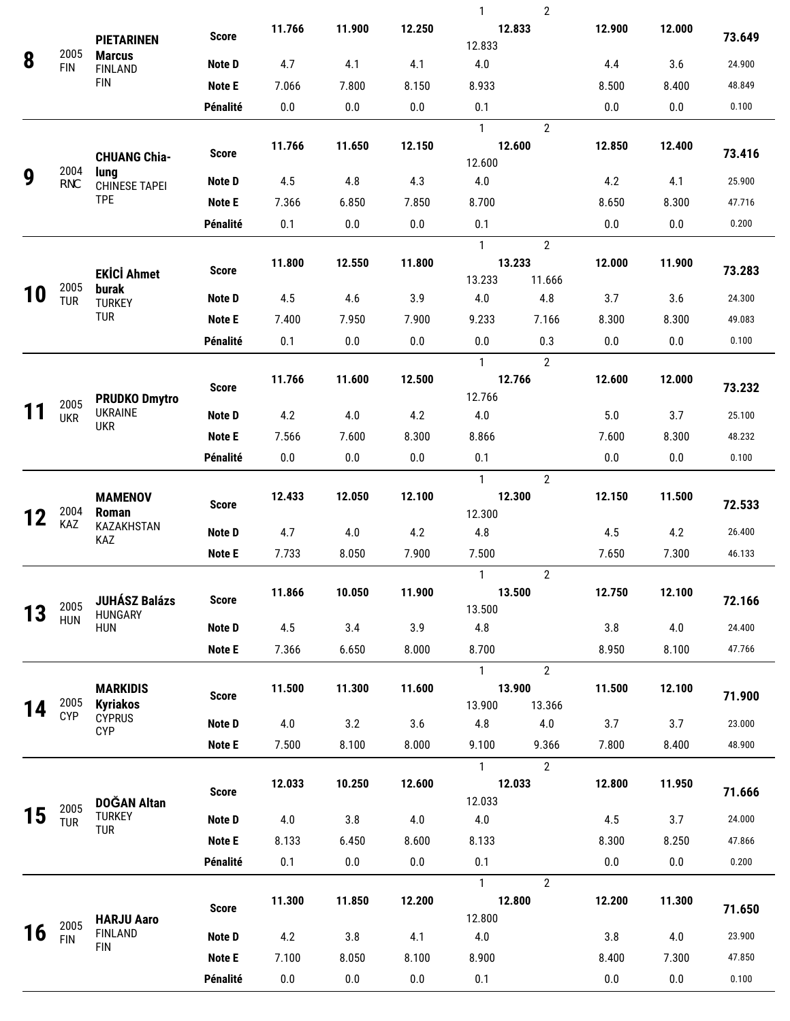|    |                    |                                        |               |        |         |        | 1                      | $\overline{2}$ |        |        |        |
|----|--------------------|----------------------------------------|---------------|--------|---------|--------|------------------------|----------------|--------|--------|--------|
|    |                    | <b>PIETARINEN</b>                      | <b>Score</b>  | 11.766 | 11.900  | 12.250 | 12.833                 |                | 12.900 | 12.000 | 73.649 |
| 8  | 2005               | <b>Marcus</b>                          | Note D        | 4.7    | 4.1     | 4.1    | 12.833<br>4.0          |                | 4.4    | 3.6    | 24.900 |
|    | <b>FIN</b>         | <b>FINLAND</b><br><b>FIN</b>           | Note E        | 7.066  | 7.800   | 8.150  | 8.933                  |                | 8.500  | 8.400  | 48.849 |
|    |                    |                                        | Pénalité      | 0.0    | 0.0     | 0.0    | 0.1                    |                | 0.0    | 0.0    | 0.100  |
|    |                    |                                        |               |        |         |        | $\mathbf{1}$           | $\overline{2}$ |        |        |        |
|    |                    | <b>CHUANG Chia-</b>                    | <b>Score</b>  | 11.766 | 11.650  | 12.150 | 12.600<br>12.600       |                | 12.850 | 12.400 | 73.416 |
| 9  | 2004<br>TPE        | lung<br><b>CHINESE TAPEI</b>           | Note D        | 4.5    | 4.8     | 4.3    | 4.0                    |                | 4.2    | 4.1    | 25.900 |
|    |                    | <b>TPE</b>                             | Note E        | 7.366  | 6.850   | 7.850  | 8.700                  |                | 8.650  | 8.300  | 47.716 |
|    |                    |                                        | Pénalité      | 0.1    | 0.0     | 0.0    | 0.1                    |                | 0.0    | 0.0    | 0.200  |
|    |                    |                                        |               |        |         |        | $\mathbf{1}$           | $\overline{2}$ |        |        |        |
|    |                    |                                        | <b>Score</b>  | 11.800 | 12.550  | 11.800 | 13.233                 |                | 12.000 | 11.900 | 73.283 |
|    | 2005               | <b>EKİCİ Ahmet</b><br>burak            |               |        |         |        | 13.233                 | 11.666         |        |        |        |
| 10 | <b>TUR</b>         | <b>TURKEY</b>                          | Note D        | 4.5    | 4.6     | 3.9    | 4.0                    | 4.8            | 3.7    | 3.6    | 24.300 |
|    |                    | <b>TUR</b>                             | Note E        | 7.400  | 7.950   | 7.900  | 9.233                  | 7.166          | 8.300  | 8.300  | 49.083 |
|    |                    |                                        | Pénalité      | 0.1    | 0.0     | 0.0    | 0.0                    | 0.3            | 0.0    | 0.0    | 0.100  |
|    |                    |                                        |               |        |         |        | $\mathbf{1}$           | $\overline{2}$ |        |        |        |
|    |                    |                                        | <b>Score</b>  | 11.766 | 11.600  | 12.500 | 12.766                 |                | 12.600 | 12.000 | 73.232 |
|    | 2005               | <b>PRUDKO Dmytro</b><br><b>UKRAINE</b> |               | 4.2    |         | 4.2    | 12.766<br>4.0          |                | 5.0    |        | 25.100 |
|    | <b>UKR</b>         | <b>UKR</b>                             | Note D        |        | 4.0     |        |                        |                |        | 3.7    |        |
|    |                    |                                        | <b>Note E</b> | 7.566  | 7.600   | 8.300  | 8.866                  |                | 7.600  | 8.300  | 48.232 |
|    |                    |                                        | Pénalité      | 0.0    | 0.0     | 0.0    | 0.1                    |                | 0.0    | 0.0    | 0.100  |
|    |                    | <b>MAMENOV</b>                         |               | 12.433 | 12.050  | 12.100 | $\mathbf{1}$<br>12.300 | $\overline{2}$ | 12.150 | 11.500 |        |
| 12 | 2004               | Roman                                  | <b>Score</b>  |        |         |        | 12.300                 |                |        |        | 72.533 |
|    | KAZ                | <b>KAZAKHSTAN</b><br>KAZ               | Note D        | 4.7    | 4.0     | 4.2    | 4.8                    |                | 4.5    | 4.2    | 26.400 |
|    |                    |                                        | Note E        | 7.733  | 8.050   | 7.900  | 7.500                  |                | 7.650  | 7.300  | 46.133 |
|    |                    |                                        |               |        |         |        | $\mathbf{1}$           | $\overline{2}$ |        |        |        |
|    |                    | <b>JUHÁSZ Balázs</b>                   | <b>Score</b>  | 11.866 | 10.050  | 11.900 |                        | 13.500         | 12.750 | 12.100 | 72.166 |
| 13 | 2005<br><b>HUN</b> | HUNGARY<br><b>HUN</b>                  |               |        |         |        | 13.500                 |                |        |        |        |
|    |                    |                                        | Note D        | 4.5    | 3.4     | 3.9    | 4.8                    |                | 3.8    | 4.0    | 24.400 |
|    |                    |                                        | <b>Note E</b> | 7.366  | 6.650   | 8.000  | 8.700                  |                | 8.950  | 8.100  | 47.766 |
|    |                    |                                        |               |        |         |        | $\mathbf{1}$           | $\overline{2}$ |        |        |        |
|    | 2005               | <b>MARKIDIS</b><br><b>Kyriakos</b>     | <b>Score</b>  | 11.500 | 11.300  | 11.600 | 13.900<br>13.900       | 13.366         | 11.500 | 12.100 | 71.900 |
| 14 | <b>CYP</b>         | <b>CYPRUS</b>                          | Note D        | 4.0    | 3.2     | 3.6    | 4.8                    | 4.0            | 3.7    | 3.7    | 23.000 |
|    |                    | <b>CYP</b>                             | Note E        | 7.500  | 8.100   | 8.000  | 9.100                  | 9.366          | 7.800  | 8.400  | 48.900 |
|    |                    |                                        |               |        |         |        | $\mathbf{1}$           | $\overline{2}$ |        |        |        |
|    |                    |                                        |               | 12.033 | 10.250  | 12.600 | 12.033                 |                | 12.800 | 11.950 |        |
|    | 2005               | <b>DOĞAN Altan</b>                     | <b>Score</b>  |        |         |        | 12.033                 |                |        |        | 71.666 |
| 15 | <b>TUR</b>         | <b>TURKEY</b><br>TUR                   | Note D        | 4.0    | 3.8     | 4.0    | 4.0                    |                | 4.5    | 3.7    | 24.000 |
|    |                    |                                        | <b>Note E</b> | 8.133  | 6.450   | 8.600  | 8.133                  |                | 8.300  | 8.250  | 47.866 |
|    |                    |                                        | Pénalité      | 0.1    | $0.0\,$ | 0.0    | 0.1                    |                | 0.0    | 0.0    | 0.200  |
|    |                    |                                        |               |        |         |        | $\mathbf{1}$           | $\overline{2}$ |        |        |        |
|    |                    |                                        | <b>Score</b>  | 11.300 | 11.850  | 12.200 | 12.800                 |                | 12.200 | 11.300 | 71.650 |
|    | 2005               | <b>HARJU Aaro</b>                      |               |        |         |        | 12.800                 |                |        |        |        |
| 16 | <b>FIN</b>         | <b>FINLAND</b><br><b>FIN</b>           | Note D        | 4.2    | 3.8     | 4.1    | 4.0                    |                | 3.8    | 4.0    | 23.900 |
|    |                    |                                        | <b>Note E</b> | 7.100  | 8.050   | 8.100  | 8.900                  |                | 8.400  | 7.300  | 47.850 |
|    |                    |                                        | Pénalité      | 0.0    | $0.0\,$ | 0.0    | 0.1                    |                | 0.0    | 0.0    | 0.100  |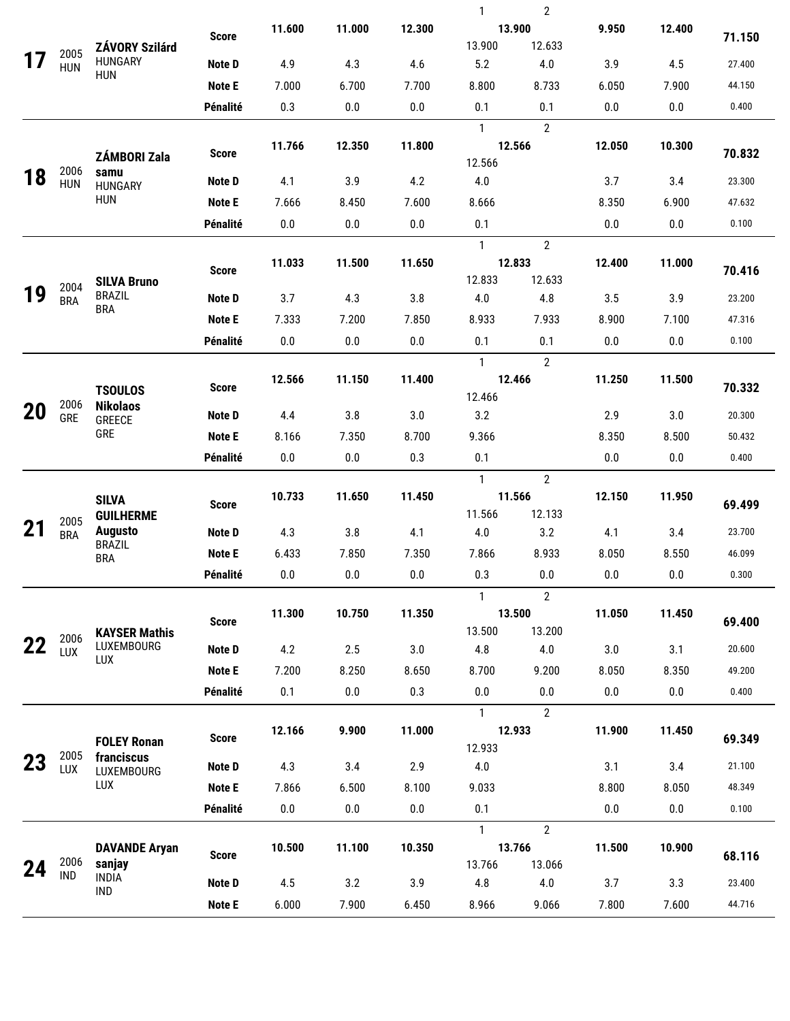|    |                    |                                    |               |         |                  |         | $\mathbf{1}$      | $\overline{2}$                           |        |         |        |  |
|----|--------------------|------------------------------------|---------------|---------|------------------|---------|-------------------|------------------------------------------|--------|---------|--------|--|
|    |                    |                                    | <b>Score</b>  | 11.600  | 11.000           | 12.300  |                   | 13.900                                   | 9.950  | 12.400  | 71.150 |  |
|    | 2005               | <b>ZÁVORY Szilárd</b>              |               |         |                  |         | 13.900            | 12.633                                   |        |         |        |  |
|    | <b>HUN</b>         | <b>HUNGARY</b><br><b>HUN</b>       | Note D        | 4.9     | 4.3              | 4.6     | 5.2               | $4.0\,$                                  | 3.9    | 4.5     | 27.400 |  |
|    |                    |                                    | <b>Note E</b> | 7.000   | 6.700            | 7.700   | 8.800             | 8.733                                    | 6.050  | 7.900   | 44.150 |  |
|    |                    |                                    | Pénalité      | 0.3     | 0.0              | 0.0     | 0.1               | 0.1                                      | 0.0    | 0.0     | 0.400  |  |
|    |                    |                                    |               |         |                  |         | $\mathbf{1}$      | $\overline{2}$                           |        |         |        |  |
|    |                    | ZÁMBORI Zala                       | <b>Score</b>  | 11.766  | 12.350           | 11.800  |                   | 12.566                                   | 12.050 | 10.300  | 70.832 |  |
| 18 | 2006               | samu                               | Note D        | 4.1     | 3.9              | 4.2     | 12.566<br>$4.0\,$ |                                          | 3.7    | 3.4     | 23.300 |  |
|    | <b>HUN</b>         | <b>HUNGARY</b><br><b>HUN</b>       | <b>Note E</b> | 7.666   | 8.450            | 7.600   | 8.666             |                                          | 8.350  | 6.900   | 47.632 |  |
|    |                    |                                    | Pénalité      | $0.0\,$ | 0.0              | 0.0     | 0.1               |                                          | 0.0    | 0.0     | 0.100  |  |
|    |                    |                                    |               |         |                  |         | $\mathbf{1}$      | $\overline{2}$                           |        |         |        |  |
|    |                    |                                    |               | 11.033  | 11.500           | 11.650  |                   | 12.833                                   | 12.400 | 11.000  |        |  |
|    |                    | <b>SILVA Bruno</b>                 | <b>Score</b>  |         | 12.633<br>12.833 |         |                   |                                          | 70.416 |         |        |  |
| 19 | 2004<br><b>BRA</b> | <b>BRAZIL</b><br><b>BRA</b>        | Note D        | 3.7     | 4.3              | 3.8     | 4.0               | 4.8                                      | 3.5    | 3.9     | 23.200 |  |
|    |                    |                                    | <b>Note E</b> | 7.333   | 7.200            | 7.850   | 8.933             | 7.933                                    | 8.900  | 7.100   | 47.316 |  |
|    |                    |                                    | Pénalité      | $0.0\,$ | 0.0              | 0.0     | 0.1               | 0.1                                      | 0.0    | 0.0     | 0.100  |  |
|    |                    |                                    |               |         |                  |         | $\mathbf{1}$      | $\overline{2}$                           |        |         |        |  |
|    |                    |                                    | <b>Score</b>  | 12.566  | 11.150           | 11.400  |                   | 12.466                                   | 11.250 | 11.500  | 70.332 |  |
|    | 2006               | <b>TSOULOS</b><br><b>Nikolaos</b>  |               |         |                  |         | 12.466            |                                          |        |         |        |  |
| 20 | <b>GRE</b>         | <b>GREECE</b><br>GRE               | Note D        | 4.4     | 3.8              | 3.0     | 3.2               |                                          | 2.9    | 3.0     | 20.300 |  |
|    |                    |                                    | <b>Note E</b> | 8.166   | 7.350            | 8.700   | 9.366             |                                          | 8.350  | 8.500   | 50.432 |  |
|    |                    |                                    | Pénalité      | 0.0     | 0.0              | 0.3     | 0.1               |                                          | 0.0    | 0.0     | 0.400  |  |
|    |                    |                                    |               |         |                  |         | $\mathbf{1}$      | $\overline{2}$                           |        |         |        |  |
|    |                    | <b>SILVA</b>                       | <b>Score</b>  | 10.733  | 11.650           | 11.450  |                   | 11.566                                   | 12.150 | 11.950  | 69.499 |  |
| 21 | 2005               | <b>GUILHERME</b><br><b>Augusto</b> | Note D        | 4.3     | 3.8              | 4.1     | 11.566<br>4.0     | 12.133<br>3.2                            | 4.1    | 3.4     | 23.700 |  |
|    | <b>BRA</b>         | <b>BRAZIL</b><br><b>BRA</b>        | <b>Note E</b> | 6.433   | 7.850            | 7.350   | 7.866             | 8.933                                    | 8.050  | 8.550   | 46.099 |  |
|    |                    |                                    | Pénalité      | $0.0\,$ | $0.0\,$          | $0.0\,$ | 0.3               | $0.0\,$                                  | 0.0    | $0.0\,$ | 0.300  |  |
|    |                    |                                    |               |         |                  |         |                   |                                          |        |         |        |  |
|    |                    |                                    |               | 11.300  | 10.750           | 11.350  |                   | $\overline{2}$<br>$\mathbf{1}$<br>13.500 |        | 11.450  |        |  |
|    |                    | <b>KAYSER Mathis</b>               | <b>Score</b>  |         |                  |         | 13.500            | 13.200                                   | 11.050 |         | 69.400 |  |
|    | 2006<br>LUX        | LUXEMBOURG                         | Note D        | 4.2     | 2.5              | 3.0     | 4.8               | 4.0                                      | 3.0    | 3.1     | 20.600 |  |
|    |                    | LUX                                | <b>Note E</b> | 7.200   | 8.250            | 8.650   | 8.700             | 9.200                                    | 8.050  | 8.350   | 49.200 |  |
|    |                    |                                    | Pénalité      | 0.1     | 0.0              | 0.3     | $0.0\,$           | 0.0                                      | 0.0    | 0.0     | 0.400  |  |
|    |                    |                                    |               |         |                  |         | $\mathbf{1}$      | $\overline{2}$                           |        |         |        |  |
|    |                    |                                    | <b>Score</b>  | 12.166  | 9.900            | 11.000  |                   | 12.933                                   | 11.900 | 11.450  | 69.349 |  |
|    | 2005               | <b>FOLEY Ronan</b><br>franciscus   |               |         |                  |         | 12.933            |                                          |        |         |        |  |
| 23 | LUX                | LUXEMBOURG                         | Note D        | 4.3     | 3.4              | 2.9     | $4.0\,$           |                                          | 3.1    | 3.4     | 21.100 |  |
|    |                    | LUX                                | <b>Note E</b> | 7.866   | 6.500            | 8.100   | 9.033             |                                          | 8.800  | 8.050   | 48.349 |  |
|    |                    |                                    | Pénalité      | 0.0     | 0.0              | 0.0     | 0.1               |                                          | 0.0    | 0.0     | 0.100  |  |
|    |                    |                                    |               |         |                  |         | $\mathbf{1}$      | $\overline{2}$                           |        |         |        |  |
|    | 2006               | <b>DAVANDE Aryan</b>               | <b>Score</b>  | 10.500  | 11.100           | 10.350  |                   | 13.766                                   | 11.500 | 10.900  | 68.116 |  |
| 24 | <b>IND</b>         | sanjay<br><b>INDIA</b>             | Note D        | 4.5     | 3.2              | 3.9     | 13.766<br>4.8     | 13.066<br>4.0                            | 3.7    | 3.3     | 23.400 |  |
|    |                    | <b>IND</b>                         |               |         |                  |         |                   |                                          |        |         |        |  |
|    |                    |                                    | <b>Note E</b> | 6.000   | 7.900            | 6.450   | 8.966             | 9.066                                    | 7.800  | 7.600   | 44.716 |  |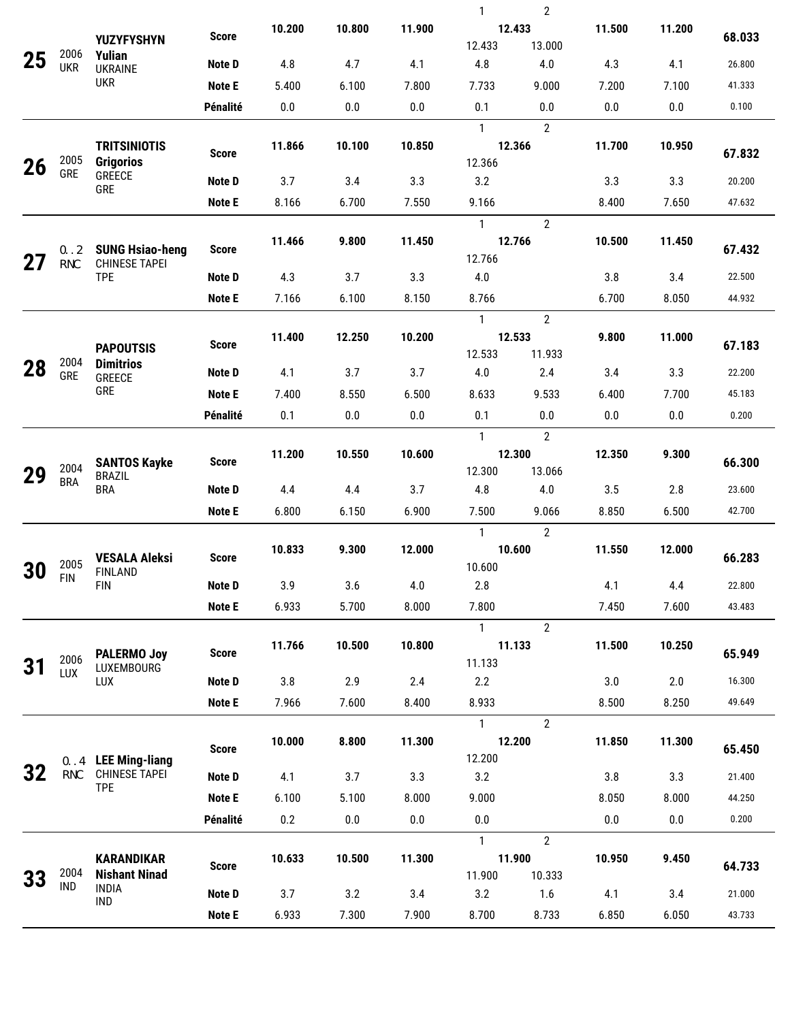|    |                    |                                                      |               |        |        |        | 1                | 2                        |         |        |        |
|----|--------------------|------------------------------------------------------|---------------|--------|--------|--------|------------------|--------------------------|---------|--------|--------|
|    |                    | <b>YUZYFYSHYN</b>                                    | <b>Score</b>  | 10.200 | 10.800 | 11.900 |                  | 12.433                   | 11.500  | 11.200 | 68.033 |
| 25 | 2006               | <b>Yulian</b>                                        |               |        |        |        | 12.433           | 13.000                   |         |        |        |
|    | <b>UKR</b>         | <b>UKRAINE</b><br><b>UKR</b>                         | Note D        | 4.8    | 4.7    | 4.1    | 4.8              | 4.0                      | 4.3     | 4.1    | 26.800 |
|    |                    |                                                      | Note E        | 5.400  | 6.100  | 7.800  | 7.733            | 9.000                    | 7.200   | 7.100  | 41.333 |
|    |                    |                                                      | Pénalité      | 0.0    | 0.0    | 0.0    | 0.1              | 0.0                      | 0.0     | 0.0    | 0.100  |
|    |                    | <b>TRITSINIOTIS</b>                                  |               | 11.866 | 10.100 | 10.850 | $\mathbf{1}$     | $\overline{2}$<br>12.366 | 11.700  | 10.950 |        |
| 26 | 2005               | <b>Grigorios</b>                                     | <b>Score</b>  |        |        |        | 12.366           |                          |         |        | 67.832 |
|    | GRE                | GREECE<br><b>GRE</b>                                 | Note D        | 3.7    | 3.4    | 3.3    | 3.2              |                          | 3.3     | 3.3    | 20.200 |
|    |                    |                                                      | Note E        | 8.166  | 6.700  | 7.550  | 9.166            |                          | 8.400   | 7.650  | 47.632 |
|    |                    |                                                      |               |        |        |        | $\mathbf{1}$     | $\overline{2}$           |         |        |        |
|    | 2004               | <b>SUNG Hsiao-heng</b>                               | <b>Score</b>  | 11.466 | 9.800  | 11.450 |                  | 12.766                   | 10.500  | 11.450 | 67.432 |
| 27 | <b>TPE</b>         | <b>CHINESE TAPEI</b>                                 |               |        |        |        | 12.766           |                          |         |        |        |
|    |                    | <b>TPE</b>                                           | Note D        | 4.3    | 3.7    | 3.3    | 4.0              |                          | 3.8     | 3.4    | 22.500 |
|    |                    |                                                      | Note E        | 7.166  | 6.100  | 8.150  | 8.766            |                          | 6.700   | 8.050  | 44.932 |
|    |                    |                                                      |               | 11.400 | 12.250 | 10.200 | $\mathbf{1}$     | $\overline{2}$<br>12.533 | 9.800   | 11.000 |        |
|    |                    | <b>PAPOUTSIS</b>                                     | <b>Score</b>  |        |        |        | 12.533           | 11.933                   |         |        | 67.183 |
| 28 | 2004<br>GRE        | <b>Dimitrios</b><br>GREECE                           | Note D        | 4.1    | 3.7    | 3.7    | 4.0              | 2.4                      | 3.4     | 3.3    | 22.200 |
|    |                    | <b>GRE</b>                                           | Note E        | 7.400  | 8.550  | 6.500  | 8.633            | 9.533                    | 6.400   | 7.700  | 45.183 |
|    |                    |                                                      | Pénalité      | 0.1    | 0.0    | 0.0    | 0.1              | 0.0                      | 0.0     | 0.0    | 0.200  |
|    |                    |                                                      |               |        |        |        | $\mathbf{1}$     | $\overline{2}$           |         |        |        |
|    |                    | <b>SANTOS Kayke</b>                                  | <b>Score</b>  | 11.200 | 10.550 | 10.600 |                  | 12.300                   | 12.350  | 9.300  | 66.300 |
| 29 | 2004<br><b>BRA</b> | <b>BRAZIL</b>                                        |               |        |        |        | 12.300           | 13.066                   |         |        |        |
|    |                    | <b>BRA</b>                                           | Note D        | 4.4    | 4.4    | 3.7    | 4.8              | 4.0                      | 3.5     | 2.8    | 23.600 |
|    |                    |                                                      | Note E        | 6.800  | 6.150  | 6.900  | 7.500            | 9.066                    | 8.850   | 6.500  | 42.700 |
|    |                    | <b>VESALA Aleksi</b><br><b>FINLAND</b><br><b>FIN</b> |               |        |        |        | $\mathbf{1}$     | $\overline{2}$           |         |        |        |
|    | 2005               |                                                      | <b>Score</b>  | 10.833 | 9.300  | 12.000 | 10.600<br>10.600 |                          | 11.550  | 12.000 | 66.283 |
| 30 | <b>FIN</b>         |                                                      | <b>Note D</b> | 3.9    | 3.6    | 4.0    | 2.8              |                          | 4.1     | 4.4    | 22.800 |
|    |                    |                                                      | Note E        | 6.933  | 5.700  | 8.000  | 7.800            |                          | 7.450   | 7.600  | 43.483 |
|    |                    |                                                      |               |        |        |        | $\mathbf{1}$     | $\overline{2}$           |         |        |        |
|    |                    |                                                      |               | 11.766 | 10.500 | 10.800 |                  | 11.133                   | 11.500  | 10.250 |        |
|    | 2006<br>LUX        | <b>PALERMO Joy</b><br>LUXEMBOURG                     | <b>Score</b>  |        |        |        | 11.133           |                          |         |        | 65.949 |
|    |                    | LUX                                                  | Note D        | 3.8    | 2.9    | 2.4    | 2.2              |                          | 3.0     | 2.0    | 16.300 |
|    |                    |                                                      | Note E        | 7.966  | 7.600  | 8.400  | 8.933            |                          | 8.500   | 8.250  | 49.649 |
|    |                    |                                                      |               |        |        |        | $\mathbf{1}$     | $\overline{2}$           |         |        |        |
|    |                    |                                                      | <b>Score</b>  | 10.000 | 8.800  | 11.300 |                  | 12.200                   | 11.850  | 11.300 | 65.450 |
| 32 | TPE                | 2006 LEE Ming-liang<br><b>CHINESE TAPEI</b>          | <b>Note D</b> | 4.1    | 3.7    | 3.3    | 12.200<br>3.2    |                          | 3.8     | 3.3    | 21.400 |
|    |                    | <b>TPE</b>                                           | <b>Note E</b> | 6.100  | 5.100  | 8.000  | 9.000            |                          | 8.050   | 8.000  | 44.250 |
|    |                    |                                                      | Pénalité      | 0.2    | 0.0    | 0.0    | 0.0              |                          | $0.0\,$ |        | 0.200  |
|    |                    |                                                      |               |        |        |        | $\mathbf{1}$     | $\overline{2}$           |         | 0.0    |        |
|    |                    | <b>KARANDIKAR</b>                                    |               | 10.633 | 10.500 | 11.300 |                  | 11.900                   | 10.950  | 9.450  |        |
| 33 | 2004               | <b>Nishant Ninad</b>                                 | <b>Score</b>  |        |        |        | 11.900           | 10.333                   |         |        | 64.733 |
|    | <b>IND</b>         | <b>INDIA</b><br><b>IND</b>                           | <b>Note D</b> | 3.7    | 3.2    | 3.4    | 3.2              | 1.6                      | 4.1     | 3.4    | 21.000 |
|    |                    |                                                      | <b>Note E</b> | 6.933  | 7.300  | 7.900  | 8.700            | 8.733                    | 6.850   | 6.050  | 43.733 |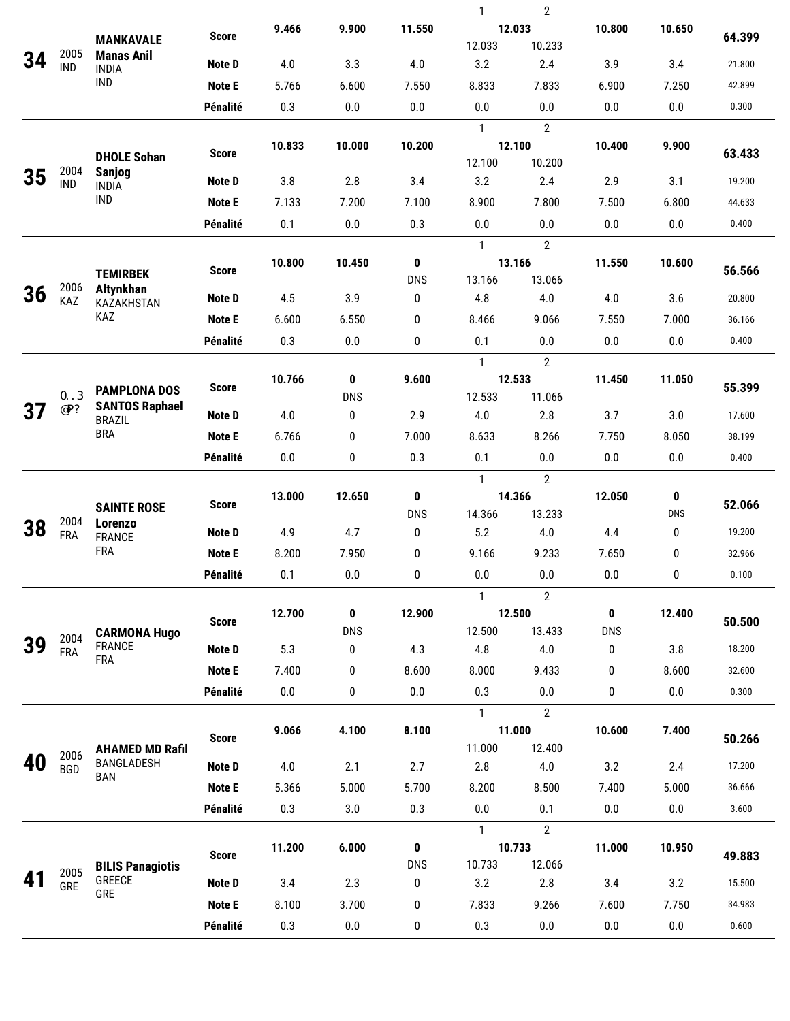|    |                    |                                                                   |                           |              |                 |                 | 1             | $\overline{2}$   |                           |                 |        |
|----|--------------------|-------------------------------------------------------------------|---------------------------|--------------|-----------------|-----------------|---------------|------------------|---------------------------|-----------------|--------|
|    |                    | <b>MANKAVALE</b>                                                  | <b>Score</b>              | 9.466        | 9.900           | 11.550          | 12.033        |                  | 10.800                    | 10.650          | 64.399 |
|    | 2005               | <b>Manas Anil</b>                                                 |                           |              |                 |                 | 12.033        | 10.233           |                           |                 |        |
| 34 | <b>IND</b>         | <b>INDIA</b>                                                      | <b>Note D</b>             | 4.0          | 3.3             | 4.0             | 3.2           | 2.4              | 3.9                       | 3.4             | 21.800 |
|    |                    | <b>IND</b>                                                        | <b>Note E</b>             | 5.766        | 6.600           | 7.550           | 8.833         | 7.833            | 6.900                     | 7.250           | 42.899 |
|    |                    |                                                                   | Pénalité                  | 0.3          | 0.0             | 0.0             | 0.0           | 0.0              | 0.0                       | 0.0             | 0.300  |
|    |                    |                                                                   |                           |              |                 |                 | $\mathbf{1}$  | $\overline{2}$   |                           |                 |        |
|    |                    |                                                                   | <b>Score</b>              | 10.833       | 10.000          | 10.200          | 12.100        |                  | 10.400                    | 9.900           | 63.433 |
|    | 2004               | <b>DHOLE Sohan</b><br><b>Sanjog</b><br><b>INDIA</b><br><b>IND</b> |                           |              |                 |                 | 12.100        | 10.200           |                           |                 |        |
| 35 | <b>IND</b>         |                                                                   | <b>Note D</b>             | 3.8          | 2.8             | 3.4             | 3.2           | 2.4              | 2.9                       | 3.1             | 19.200 |
|    |                    |                                                                   | <b>Note E</b>             | 7.133        | 7.200           | 7.100           | 8.900         | 7.800            | 7.500                     | 6.800           | 44.633 |
|    |                    |                                                                   | Pénalité                  | 0.1          | $0.0\,$         | 0.3             | $0.0\,$       | 0.0              | $0.0\,$                   | 0.0             | 0.400  |
|    |                    |                                                                   |                           |              |                 |                 | 1             | $\overline{2}$   |                           |                 |        |
|    |                    | <b>TEMIRBEK</b>                                                   | <b>Score</b>              | 10.800       | 10.450          | $\pmb{0}$       | 13.166        |                  | 11.550                    | 10.600          | 56.566 |
| 36 | 2006               | Altynkhan                                                         |                           |              |                 | <b>DNS</b>      | 13.166        | 13.066           |                           |                 |        |
|    | KAZ                | KAZAKHSTAN<br>KAZ                                                 | <b>Note D</b>             | 4.5          | 3.9             | 0               | 4.8           | 4.0              | 4.0                       | 3.6             | 20.800 |
|    |                    |                                                                   | <b>Note E</b>             | 6.600        | 6.550           | 0               | 8.466         | 9.066            | 7.550                     | 7.000           | 36.166 |
|    |                    |                                                                   | Pénalité                  | 0.3          | 0.0             | 0               | 0.1           | 0.0              | 0.0                       | 0.0             | 0.400  |
|    |                    |                                                                   |                           |              |                 |                 | 1             | $\overline{2}$   |                           |                 |        |
|    | 2005               | <b>PAMPLONA DOS</b>                                               | <b>Score</b>              | 10.766       | 0               | 9.600           | 12.533        | 11.066           | 11.450                    | 11.050<br>3.0   | 55.399 |
| 37 | <b>BRA</b>         | <b>SANTOS Raphael</b>                                             | Note D                    | 4.0          | <b>DNS</b><br>0 | 2.9             | 12.533<br>4.0 | 2.8              | 3.7                       |                 | 17.600 |
|    |                    | <b>BRAZIL</b><br><b>BRA</b>                                       | <b>Note E</b>             |              |                 | 7.000           | 8.633         |                  |                           |                 | 38.199 |
|    |                    |                                                                   |                           | 6.766        | 0               |                 |               | 8.266            | 7.750                     | 8.050           |        |
|    |                    |                                                                   | Pénalité                  | 0.0          | 0               | 0.3             | 0.1           | 0.0              | 0.0                       | 0.0             | 0.400  |
|    |                    |                                                                   |                           |              |                 |                 |               |                  |                           |                 |        |
|    |                    |                                                                   |                           |              |                 |                 | $\mathbf{1}$  | $\overline{2}$   |                           |                 |        |
|    |                    | <b>SAINTE ROSE</b>                                                | <b>Score</b>              | 13.000       | 12.650          | $\pmb{0}$       | 14.366        |                  | 12.050                    | 0               | 52.066 |
| 38 | 2004               | Lorenzo                                                           | Note D                    | 4.9          | 4.7             | <b>DNS</b><br>0 | 14.366<br>5.2 | 13.233<br>4.0    | 4.4                       | <b>DNS</b><br>0 | 19.200 |
|    | <b>FRA</b>         | <b>FRANCE</b><br><b>FRA</b>                                       |                           |              |                 |                 |               |                  |                           |                 | 32.966 |
|    |                    |                                                                   | <b>Note E</b>             | 8.200        | 7.950           | 0               | 9.166         | 9.233            | 7.650                     | 0               |        |
|    |                    |                                                                   | Pénalité                  | 0.1          | $0.0\,$         | 0               | 0.0           | 0.0              | $0.0\,$                   | 0               | 0.100  |
|    |                    |                                                                   |                           |              |                 |                 | $\mathbf{1}$  | $\overline{2}$   |                           |                 |        |
|    |                    |                                                                   | <b>Score</b>              | 12.700       | 0<br><b>DNS</b> | 12.900          | 12.500        | 12.500<br>13.433 | $\mathbf 0$<br><b>DNS</b> | 12.400          | 50.500 |
|    | 2004<br><b>FRA</b> | <b>CARMONA Hugo</b><br><b>FRANCE</b>                              | Note D                    | 5.3          | 0               | 4.3             | 4.8           | 4.0              | 0                         | 3.8             | 18.200 |
|    |                    | <b>FRA</b>                                                        | <b>Note E</b>             | 7.400        | 0               | 8.600           | 8.000         | 9.433            | $\mathbf 0$               | 8.600           | 32.600 |
|    |                    |                                                                   | Pénalité                  | 0.0          | 0               | 0.0             | 0.3           | 0.0              | 0                         | 0.0             | 0.300  |
|    |                    |                                                                   |                           |              |                 |                 | $\mathbf{1}$  | $\overline{2}$   |                           |                 |        |
|    |                    |                                                                   |                           | 9.066        | 4.100           | 8.100           | 11.000        |                  | 10.600                    | 7.400           |        |
|    |                    | <b>AHAMED MD Rafil</b>                                            | <b>Score</b>              |              |                 |                 | 11.000        | 12.400           |                           |                 | 50.266 |
|    | 2006<br><b>BGD</b> | BANGLADESH                                                        | Note D                    | 4.0          | 2.1             | 2.7             | 2.8           | 4.0              | 3.2                       | 2.4             | 17.200 |
|    |                    | <b>BAN</b>                                                        | <b>Note E</b>             | 5.366        | 5.000           | 5.700           | 8.200         | 8.500            | 7.400                     | 5.000           | 36.666 |
|    |                    |                                                                   | Pénalité                  | 0.3          | 3.0             | 0.3             | $0.0\,$       | 0.1              | 0.0                       | 0.0             | 3.600  |
|    |                    |                                                                   |                           |              |                 |                 | $\mathbf{1}$  | $\overline{2}$   |                           |                 |        |
|    |                    |                                                                   |                           | 11.200       | 6.000           | $\pmb{0}$       | 10.733        |                  | 11.000                    | 10.950          |        |
|    | 2005               | <b>BILIS Panagiotis</b>                                           | <b>Score</b>              |              |                 | <b>DNS</b>      | 10.733        | 12.066           |                           |                 | 49.883 |
|    | GRE                | GREECE<br>GRE                                                     | Note D                    | 3.4          | 2.3             | 0               | 3.2           | 2.8              | 3.4                       | 3.2             | 15.500 |
|    |                    |                                                                   | <b>Note E</b><br>Pénalité | 8.100<br>0.3 | 3.700           | 0               | 7.833<br>0.3  | 9.266            | 7.600<br>$0.0\,$          | 7.750<br>0.0    | 34.983 |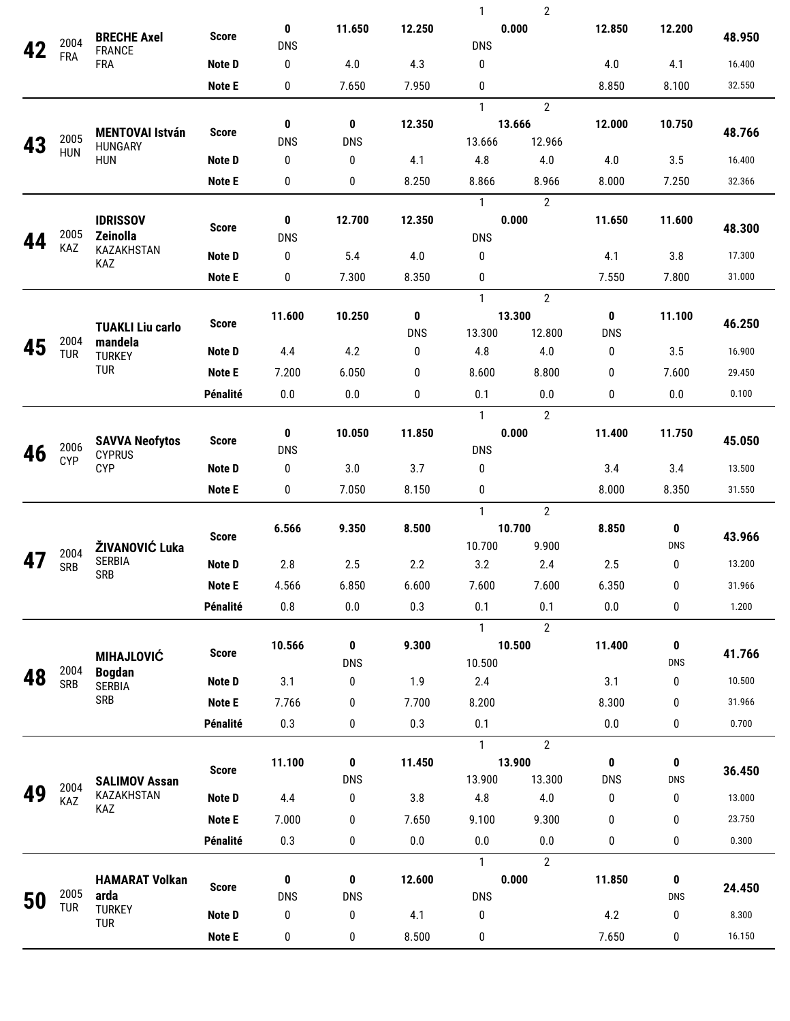|    |                    |                                                 |               |                            |                 |            | 1             | 2                       |              |                 |        |
|----|--------------------|-------------------------------------------------|---------------|----------------------------|-----------------|------------|---------------|-------------------------|--------------|-----------------|--------|
|    | 2004               | <b>BRECHE Axel</b><br><b>FRANCE</b>             | <b>Score</b>  | $\mathbf{0}$<br><b>DNS</b> | 11.650          | 12.250     | <b>DNS</b>    | 0.000                   | 12.850       | 12.200          | 48.950 |
|    | <b>FRA</b>         | <b>FRA</b>                                      | Note D        | 0                          | 4.0             | 4.3        | 0             |                         | 4.0          | 4.1             | 16.400 |
|    |                    |                                                 | <b>Note E</b> | 0                          | 7.650           | 7.950      | 0             |                         | 8.850        | 8.100           | 32.550 |
|    |                    |                                                 |               |                            |                 |            | $\mathbf{1}$  | $\overline{2}$          |              |                 |        |
|    |                    | <b>MENTOVAI István</b><br>HUNGARY<br><b>HUN</b> | <b>Score</b>  | 0                          | 0               | 12.350     |               | 13.666                  | 12.000       | 10.750          | 48.766 |
| 43 | 2005<br><b>HUN</b> |                                                 |               | <b>DNS</b>                 | <b>DNS</b>      |            | 13.666        | 12.966                  |              |                 |        |
|    |                    |                                                 | Note D        | 0                          | 0               | 4.1        | 4.8           | 4.0                     | 4.0          | 3.5             | 16.400 |
|    |                    |                                                 | Note E        | 0                          | 0               | 8.250      | 8.866         | 8.966                   | 8.000        | 7.250           | 32.366 |
|    |                    | <b>IDRISSOV</b>                                 |               | 0                          | 12.700          | 12.350     | $\mathbf{1}$  | $\overline{2}$<br>0.000 | 11.650       | 11.600          |        |
| 44 | 2005               | Zeinolla                                        | <b>Score</b>  | <b>DNS</b>                 |                 |            | <b>DNS</b>    |                         |              |                 | 48.300 |
|    | KAZ                | KAZAKHSTAN<br>KAZ                               | Note D        | 0                          | 5.4             | 4.0        | 0             |                         | 4.1          | 3.8             | 17.300 |
|    |                    |                                                 | Note E        | 0                          | 7.300           | 8.350      | 0             |                         | 7.550        | 7.800           | 31.000 |
|    |                    |                                                 |               |                            |                 |            | $\mathbf{1}$  | $\overline{2}$          |              |                 |        |
|    |                    | <b>TUAKLI Liu carlo</b>                         | <b>Score</b>  | 11.600                     | 10.250          | 0          | 13.300        |                         | $\mathbf 0$  | 11.100          |        |
| 45 | 2004               | mandela                                         |               |                            |                 | <b>DNS</b> | 13.300        | 12.800                  | <b>DNS</b>   | 46.250          |        |
|    | <b>TUR</b>         | <b>TURKEY</b><br><b>TUR</b>                     | Note D        | 4.4                        | 4.2             | 0          | 4.8           | 4.0                     | 0            | 3.5             | 16.900 |
|    |                    |                                                 | Note E        | 7.200                      | 6.050           | 0          | 8.600         | 8.800                   | 0            | 7.600           | 29.450 |
|    |                    |                                                 | Pénalité      | 0.0                        | 0.0             | 0          | 0.1           | 0.0                     | 0            | 0.0             | 0.100  |
|    |                    |                                                 |               | $\mathbf{0}$               |                 |            | $\mathbf{1}$  | $\overline{2}$          |              |                 |        |
|    | 2006               | <b>SAVVA Neofytos</b>                           | <b>Score</b>  | <b>DNS</b>                 | 10.050          | 11.850     | <b>DNS</b>    | 0.000                   | 11.400       | 11.750          | 45.050 |
| 46 | <b>CYP</b>         | <b>CYPRUS</b><br><b>CYP</b>                     | Note D        | $\mathbf 0$                | 3.0             | 3.7        | 0             |                         | 3.4          | 3.4             | 13.500 |
|    |                    |                                                 | Note E        | 0                          | 7.050           | 8.150      | 0             |                         | 8.000        | 8.350           | 31.550 |
|    |                    |                                                 |               |                            |                 |            | $\mathbf{1}$  | $\overline{2}$          |              |                 |        |
|    |                    | ŽIVANOVIĆ Luka<br><b>SERBIA</b><br><b>SRB</b>   | <b>Score</b>  | 6.566                      | 9.350           | 8.500      |               | 10.700                  | 8.850        | 0               | 43.966 |
|    | 2004               |                                                 |               |                            |                 |            | 10.700        | 9.900                   |              | <b>DNS</b>      |        |
|    | <b>SRB</b>         |                                                 | Note D        | 2.8                        | 2.5             | 2.2        | 3.2           | 2.4                     | 2.5          | 0               | 13.200 |
|    |                    |                                                 | <b>Note E</b> | 4.566                      | 6.850           | 6.600      | 7.600         | 7.600                   | 6.350        | $\bf{0}$        | 31.966 |
|    |                    |                                                 | Pénalité      | 0.8                        | $0.0\,$         | 0.3        | 0.1           | 0.1                     | 0.0          | 0               | 1.200  |
|    |                    |                                                 |               |                            |                 |            | $\mathbf{1}$  | $\overline{2}$          |              |                 |        |
|    |                    | <b>MIHAJLOVIĆ</b>                               | <b>Score</b>  | 10.566                     | $\mathbf 0$     | 9.300      |               | 10.500                  | 11.400       | 0               | 41.766 |
| 48 | 2004               | <b>Bogdan</b>                                   | Note D        | 3.1                        | <b>DNS</b><br>0 | 1.9        | 10.500<br>2.4 |                         | 3.1          | <b>DNS</b><br>0 | 10.500 |
|    | SRB                | <b>SERBIA</b><br><b>SRB</b>                     | <b>Note E</b> | 7.766                      | 0               | 7.700      | 8.200         |                         | 8.300        | 0               | 31.966 |
|    |                    |                                                 | Pénalité      | 0.3                        | 0               | 0.3        | 0.1           |                         | 0.0          | 0               | 0.700  |
|    |                    |                                                 |               |                            |                 |            | $\mathbf{1}$  | $\mathbf{2}$            |              |                 |        |
|    |                    |                                                 |               | 11.100                     | 0               | 11.450     |               | 13.900                  | $\mathbf{0}$ | 0               |        |
|    |                    | <b>SALIMOV Assan</b>                            | <b>Score</b>  |                            | <b>DNS</b>      |            | 13.900        | 13.300                  | <b>DNS</b>   | <b>DNS</b>      | 36.450 |
| 49 | 2004<br>KAZ        | KAZAKHSTAN                                      | Note D        | 4.4                        | 0               | 3.8        | 4.8           | 4.0                     | 0            | 0               | 13.000 |
|    |                    | KAZ                                             | <b>Note E</b> | 7.000                      | 0               | 7.650      | 9.100         | 9.300                   | 0            | 0               | 23.750 |
|    |                    |                                                 | Pénalité      | 0.3                        | 0               | 0.0        | 0.0           | 0.0                     | 0            | 0               | 0.300  |
|    |                    |                                                 |               |                            |                 |            | $\mathbf{1}$  | $\overline{2}$          |              |                 |        |
|    |                    | <b>HAMARAT Volkan</b>                           | <b>Score</b>  | 0                          | 0               | 12.600     |               | 0.000                   | 11.850       | 0               | 24.450 |
| 50 | 2005<br><b>TUR</b> | arda<br><b>TURKEY</b>                           |               | <b>DNS</b>                 | <b>DNS</b>      |            | <b>DNS</b>    |                         |              | <b>DNS</b>      |        |
|    |                    | <b>TUR</b>                                      | <b>Note D</b> | 0                          | 0               | 4.1        | 0             |                         | 4.2          | 0               | 8.300  |
|    |                    |                                                 | <b>Note E</b> | 0                          | 0               | 8.500      | 0             |                         | 7.650        | 0               | 16.150 |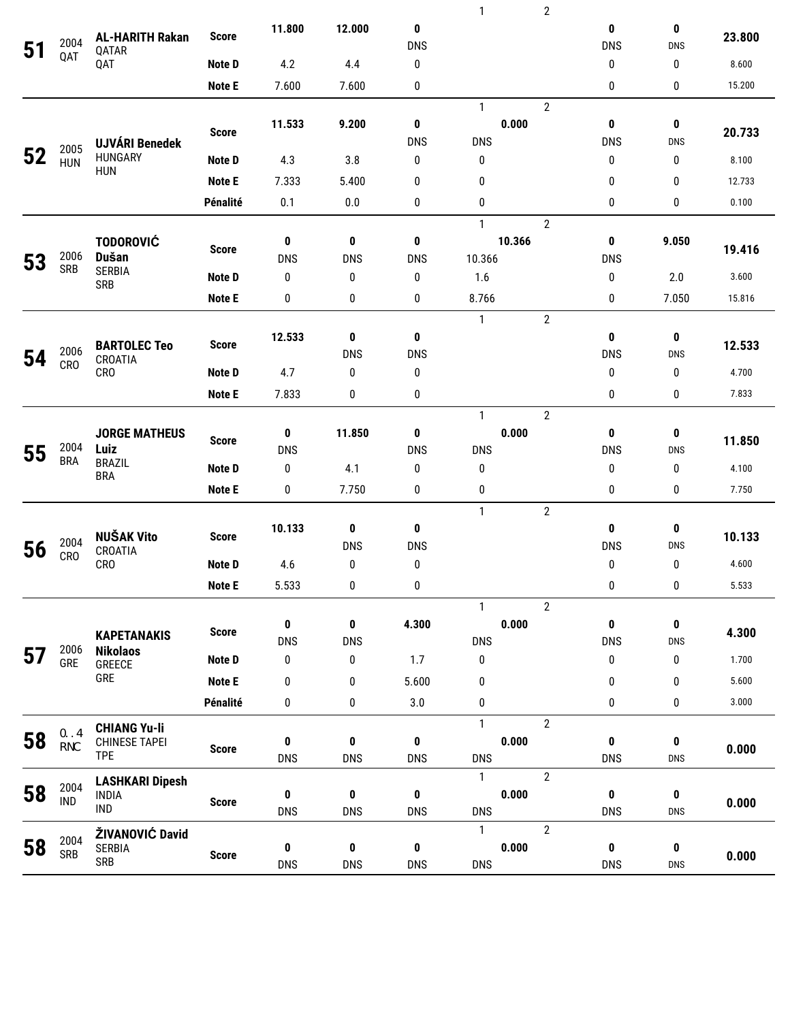|    |                         |                                             |               |            |                 |                 | $\mathbf{1}$          | $\overline{2}$ |                 |                            |        |  |
|----|-------------------------|---------------------------------------------|---------------|------------|-----------------|-----------------|-----------------------|----------------|-----------------|----------------------------|--------|--|
| 51 | 2004                    | <b>AL-HARITH Rakan</b><br>QATAR             | <b>Score</b>  | 11.800     | 12.000          | 0<br><b>DNS</b> |                       |                | 0<br><b>DNS</b> | $\mathbf{0}$<br><b>DNS</b> | 23.800 |  |
|    | QAT                     | QAT                                         | Note D        | 4.2        | 4.4             | 0               |                       |                | 0               | 0                          | 8.600  |  |
|    |                         |                                             | <b>Note E</b> | 7.600      | 7.600           | 0               |                       |                | 0               | 0                          | 15.200 |  |
|    |                         |                                             |               |            |                 |                 | $\mathbf{1}$          | $\overline{2}$ |                 |                            |        |  |
|    |                         | <b>UJVÁRI Benedek</b>                       | <b>Score</b>  | 11.533     | 9.200           | 0<br><b>DNS</b> | 0.000<br><b>DNS</b>   |                | 0<br><b>DNS</b> | $\mathbf{0}$<br><b>DNS</b> | 20.733 |  |
|    | 2005<br><b>HUN</b>      | <b>HUNGARY</b>                              | Note D        | 4.3        | 3.8             | 0               | 0                     |                | 0               | 0                          | 8.100  |  |
|    |                         | <b>HUN</b>                                  | <b>Note E</b> | 7.333      | 5.400           | 0               | 0                     |                | $\mathbf{0}$    | 0                          | 12.733 |  |
|    |                         |                                             | Pénalité      | 0.1        | 0.0             | 0               | 0                     |                | 0               | 0                          | 0.100  |  |
|    |                         |                                             |               |            |                 |                 | $\mathbf{1}$          | $\overline{2}$ |                 |                            |        |  |
|    |                         | <b>TODOROVIĆ</b>                            | <b>Score</b>  | 0          | 0               | 0               | 10.366                |                | 0               | 9.050                      | 19.416 |  |
| 53 | 2006<br><b>SRB</b>      | <b>Dušan</b>                                |               | <b>DNS</b> | <b>DNS</b>      | <b>DNS</b>      | 10.366                |                | <b>DNS</b>      |                            |        |  |
|    |                         | <b>SERBIA</b><br><b>SRB</b>                 | Note D        | 0          | 0               | 0               | 1.6                   |                | 0               | 2.0                        | 3.600  |  |
|    |                         |                                             | <b>Note E</b> | 0          | 0               | 0               | 8.766                 |                | 0               | 7.050                      | 15.816 |  |
|    |                         |                                             |               |            |                 |                 | $\mathbf{1}$          | $\overline{2}$ |                 |                            |        |  |
|    | 2006<br>CR <sub>O</sub> | <b>BARTOLEC Teo</b>                         | <b>Score</b>  | 12.533     | $\mathbf 0$     | 0               |                       |                | 0               | $\mathbf{0}$               | 12.533 |  |
| 54 |                         | CROATIA                                     |               |            | <b>DNS</b>      | <b>DNS</b>      |                       |                | <b>DNS</b>      | <b>DNS</b>                 |        |  |
|    |                         | <b>CRO</b>                                  | Note D        | 4.7        | 0               | 0               |                       |                | 0               | 0                          | 4.700  |  |
|    |                         |                                             | Note E        | 7.833      | 0               | 0               |                       |                | 0               | 0                          | 7.833  |  |
|    |                         |                                             |               |            |                 |                 | $\mathbf{1}$          | $\overline{2}$ |                 |                            |        |  |
|    |                         | <b>JORGE MATHEUS</b>                        | <b>Score</b>  | 0          | 11.850          | 0               | 0.000                 |                | $\pmb{0}$       | 0                          | 11.850 |  |
| 55 | 2004<br><b>BRA</b>      | Luiz<br><b>BRAZIL</b>                       |               | <b>DNS</b> |                 | <b>DNS</b>      | <b>DNS</b>            |                | <b>DNS</b>      | <b>DNS</b>                 |        |  |
|    |                         | <b>BRA</b>                                  | Note D        | 0          | 4.1             | 0               | 0                     |                | 0               | 0                          | 4.100  |  |
|    |                         |                                             | <b>Note E</b> | 0          | 7.750           | 0               | 0                     |                | 0               | 0                          | 7.750  |  |
|    |                         | <b>NUŠAK Vito</b><br>CROATIA<br><b>CRO</b>  |               |            |                 |                 | $\mathbf{1}$          | $\overline{2}$ |                 |                            |        |  |
|    | 2004                    |                                             | <b>Score</b>  | 10.133     | 0<br><b>DNS</b> | 0<br><b>DNS</b> |                       |                | 0<br><b>DNS</b> | 0<br>DNS                   | 10.133 |  |
| 56 | <b>CRO</b>              |                                             | <b>Note D</b> | 4.6        | 0               | 0               |                       |                | 0               | 0                          | 4.600  |  |
|    |                         |                                             | <b>Note E</b> | 5.533      | $\pmb{0}$       | 0               |                       |                | 0               | 0                          | 5.533  |  |
|    |                         |                                             |               |            |                 |                 |                       | $\overline{2}$ |                 |                            |        |  |
|    |                         |                                             |               | 0          | $\pmb{0}$       | 4.300           | $\mathbf{1}$<br>0.000 |                | 0               | 0                          |        |  |
|    |                         | <b>KAPETANAKIS</b>                          | <b>Score</b>  | <b>DNS</b> | <b>DNS</b>      |                 | <b>DNS</b>            |                | <b>DNS</b>      | <b>DNS</b>                 | 4.300  |  |
| 57 | 2006<br>GRE             | <b>Nikolaos</b><br>GREECE                   | Note D        | 0          | 0               | 1.7             | 0                     |                | 0               | 0                          | 1.700  |  |
|    |                         | GRE                                         | <b>Note E</b> | 0          | 0               | 5.600           | 0                     |                | 0               | 0                          | 5.600  |  |
|    |                         |                                             | Pénalité      | 0          | 0               | 3.0             | 0                     |                | 0               | 0                          | 3.000  |  |
|    |                         |                                             |               |            |                 |                 | $\mathbf{1}$          | $\overline{2}$ |                 |                            |        |  |
| 58 | 2006                    | <b>CHIANG Yu-li</b><br><b>CHINESE TAPEI</b> |               | $\pmb{0}$  | $\pmb{0}$       | $\pmb{0}$       | 0.000                 |                | $\mathbf{0}$    | $\pmb{0}$                  |        |  |
|    | <b>TPE</b>              | <b>TPE</b>                                  | <b>Score</b>  | <b>DNS</b> | <b>DNS</b>      | <b>DNS</b>      | <b>DNS</b>            |                | <b>DNS</b>      | <b>DNS</b>                 | 0.000  |  |
|    |                         | <b>LASHKARI Dipesh</b>                      |               |            |                 |                 | $\mathbf{1}$          | $\overline{2}$ |                 |                            |        |  |
| 58 | 2004<br>IND             | <b>INDIA</b>                                | <b>Score</b>  | 0          | $\bf{0}$        | $\pmb{0}$       | 0.000                 |                | $\mathbf{0}$    | 0                          | 0.000  |  |
|    |                         | IND                                         |               | <b>DNS</b> | <b>DNS</b>      | <b>DNS</b>      | <b>DNS</b>            |                | <b>DNS</b>      | <b>DNS</b>                 |        |  |
|    | 2004                    | ŽIVANOVIĆ David                             |               |            |                 |                 | $\mathbf{1}$          | $\overline{2}$ |                 |                            |        |  |
| 58 | <b>SRB</b>              | <b>SERBIA</b>                               | <b>Score</b>  | $\pmb{0}$  | $\pmb{0}$       | $\pmb{0}$       | 0.000                 |                | $\mathbf{0}$    | 0                          | 0.000  |  |
|    |                         | <b>SRB</b>                                  |               | <b>DNS</b> | <b>DNS</b>      | <b>DNS</b>      | <b>DNS</b>            |                | <b>DNS</b>      | <b>DNS</b>                 |        |  |